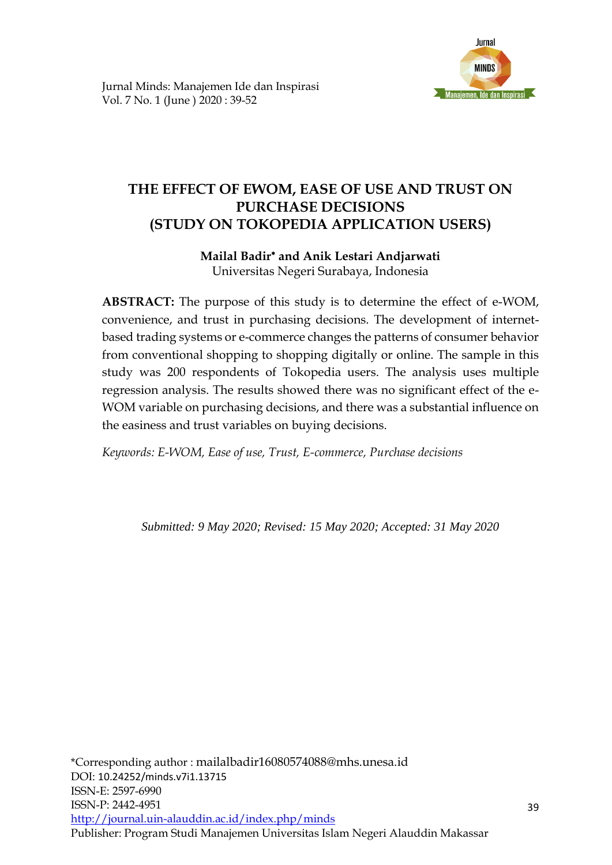

# **THE EFFECT OF EWOM, EASE OF USE AND TRUST ON PURCHASE DECISIONS (STUDY ON TOKOPEDIA APPLICATION USERS)**

# **Mailal Badir and Anik Lestari Andjarwati** Universitas Negeri Surabaya, Indonesia

**ABSTRACT:** The purpose of this study is to determine the effect of e-WOM, convenience, and trust in purchasing decisions. The development of internetbased trading systems or e-commerce changes the patterns of consumer behavior from conventional shopping to shopping digitally or online. The sample in this study was 200 respondents of Tokopedia users. The analysis uses multiple regression analysis. The results showed there was no significant effect of the e-WOM variable on purchasing decisions, and there was a substantial influence on the easiness and trust variables on buying decisions.

*Keywords: E-WOM, Ease of use, Trust, E-commerce, Purchase decisions*

*Submitted: 9 May 2020; Revised: 15 May 2020; Accepted: 31 May 2020*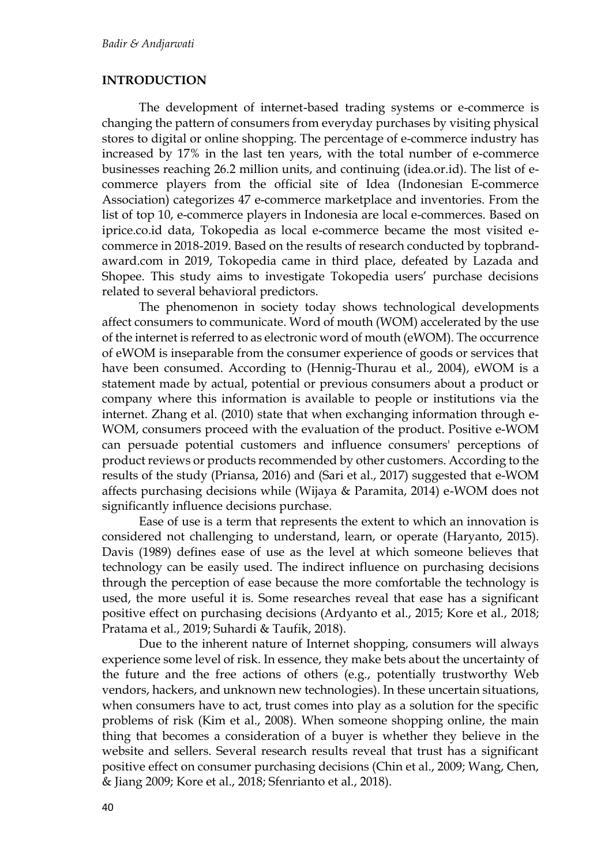# **INTRODUCTION**

The development of internet-based trading systems or e-commerce is changing the pattern of consumers from everyday purchases by visiting physical stores to digital or online shopping. The percentage of e-commerce industry has increased by 17% in the last ten years, with the total number of e-commerce businesses reaching 26.2 million units, and continuing (idea.or.id). The list of ecommerce players from the official site of Idea (Indonesian E-commerce Association) categorizes 47 e-commerce marketplace and inventories. From the list of top 10, e-commerce players in Indonesia are local e-commerces. Based on iprice.co.id data, Tokopedia as local e-commerce became the most visited ecommerce in 2018-2019. Based on the results of research conducted by topbrandaward.com in 2019, Tokopedia came in third place, defeated by Lazada and Shopee. This study aims to investigate Tokopedia users' purchase decisions related to several behavioral predictors.

The phenomenon in society today shows technological developments affect consumers to communicate. Word of mouth (WOM) accelerated by the use of the internet is referred to as electronic word of mouth (eWOM). The occurrence of eWOM is inseparable from the consumer experience of goods or services that have been consumed. According to (Hennig-Thurau et al., 2004), eWOM is a statement made by actual, potential or previous consumers about a product or company where this information is available to people or institutions via the internet. Zhang et al. (2010) state that when exchanging information through e-WOM, consumers proceed with the evaluation of the product. Positive e-WOM can persuade potential customers and influence consumers' perceptions of product reviews or products recommended by other customers. According to the results of the study (Priansa, 2016) and (Sari et al., 2017) suggested that e-WOM affects purchasing decisions while (Wijaya & Paramita, 2014) e-WOM does not significantly influence decisions purchase.

Ease of use is a term that represents the extent to which an innovation is considered not challenging to understand, learn, or operate (Haryanto, 2015). Davis (1989) defines ease of use as the level at which someone believes that technology can be easily used. The indirect influence on purchasing decisions through the perception of ease because the more comfortable the technology is used, the more useful it is. Some researches reveal that ease has a significant positive effect on purchasing decisions (Ardyanto et al., 2015; Kore et al., 2018; Pratama et al., 2019; Suhardi & Taufik, 2018).

Due to the inherent nature of Internet shopping, consumers will always experience some level of risk. In essence, they make bets about the uncertainty of the future and the free actions of others (e.g., potentially trustworthy Web vendors, hackers, and unknown new technologies). In these uncertain situations, when consumers have to act, trust comes into play as a solution for the specific problems of risk (Kim et al., 2008). When someone shopping online, the main thing that becomes a consideration of a buyer is whether they believe in the website and sellers. Several research results reveal that trust has a significant positive effect on consumer purchasing decisions (Chin et al., 2009; Wang, Chen, & Jiang 2009; Kore et al., 2018; Sfenrianto et al., 2018).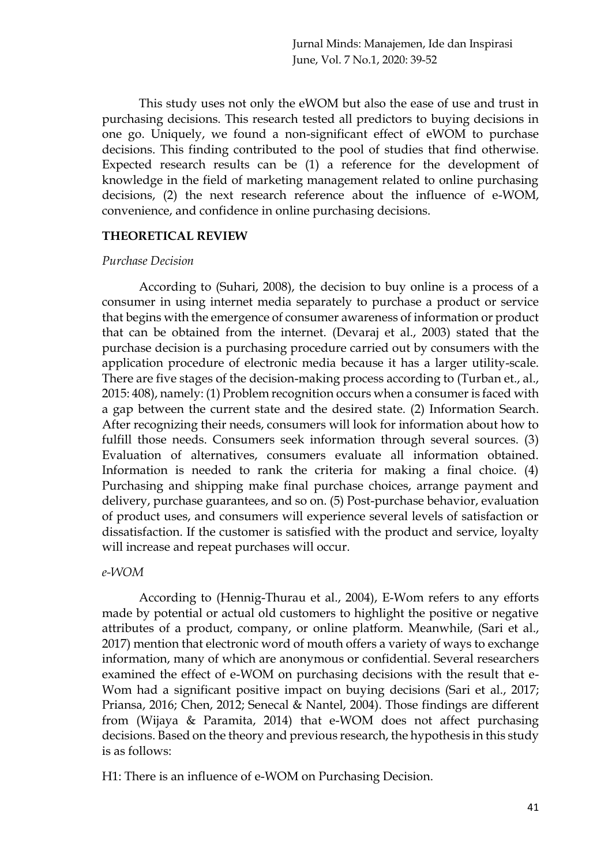This study uses not only the eWOM but also the ease of use and trust in purchasing decisions. This research tested all predictors to buying decisions in one go. Uniquely, we found a non-significant effect of eWOM to purchase decisions. This finding contributed to the pool of studies that find otherwise. Expected research results can be (1) a reference for the development of knowledge in the field of marketing management related to online purchasing decisions, (2) the next research reference about the influence of e-WOM, convenience, and confidence in online purchasing decisions.

#### **THEORETICAL REVIEW**

#### *Purchase Decision*

According to (Suhari, 2008), the decision to buy online is a process of a consumer in using internet media separately to purchase a product or service that begins with the emergence of consumer awareness of information or product that can be obtained from the internet. (Devaraj et al., 2003) stated that the purchase decision is a purchasing procedure carried out by consumers with the application procedure of electronic media because it has a larger utility-scale. There are five stages of the decision-making process according to (Turban et., al., 2015: 408), namely: (1) Problem recognition occurs when a consumer is faced with a gap between the current state and the desired state. (2) Information Search. After recognizing their needs, consumers will look for information about how to fulfill those needs. Consumers seek information through several sources. (3) Evaluation of alternatives, consumers evaluate all information obtained. Information is needed to rank the criteria for making a final choice. (4) Purchasing and shipping make final purchase choices, arrange payment and delivery, purchase guarantees, and so on. (5) Post-purchase behavior, evaluation of product uses, and consumers will experience several levels of satisfaction or dissatisfaction. If the customer is satisfied with the product and service, loyalty will increase and repeat purchases will occur.

# *e-WOM*

According to (Hennig-Thurau et al., 2004), E-Wom refers to any efforts made by potential or actual old customers to highlight the positive or negative attributes of a product, company, or online platform. Meanwhile, (Sari et al., 2017) mention that electronic word of mouth offers a variety of ways to exchange information, many of which are anonymous or confidential. Several researchers examined the effect of e-WOM on purchasing decisions with the result that e-Wom had a significant positive impact on buying decisions (Sari et al., 2017; Priansa, 2016; Chen, 2012; Senecal & Nantel, 2004). Those findings are different from (Wijaya & Paramita, 2014) that e-WOM does not affect purchasing decisions. Based on the theory and previous research, the hypothesis in this study is as follows:

H1: There is an influence of e-WOM on Purchasing Decision.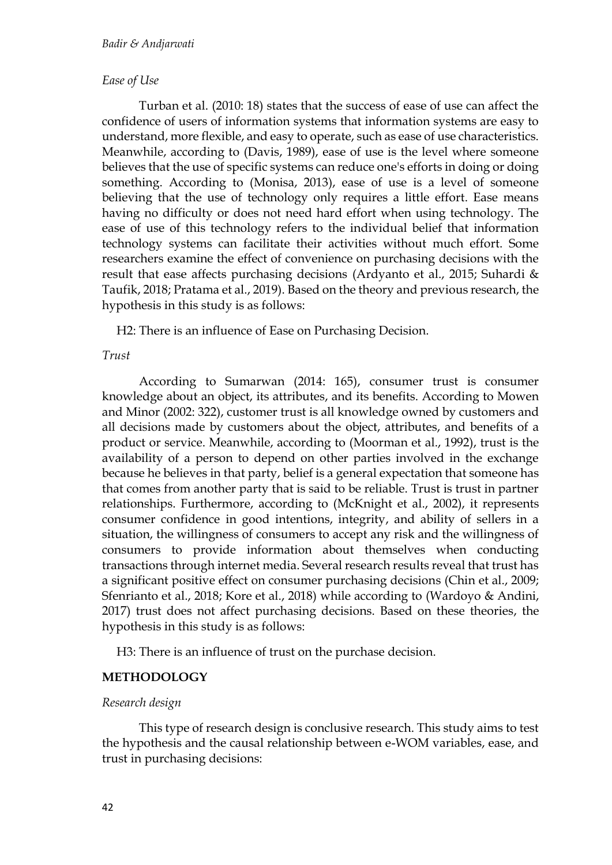### *Ease of Use*

Turban et al. (2010: 18) states that the success of ease of use can affect the confidence of users of information systems that information systems are easy to understand, more flexible, and easy to operate, such as ease of use characteristics. Meanwhile, according to (Davis, 1989), ease of use is the level where someone believes that the use of specific systems can reduce one's efforts in doing or doing something. According to (Monisa, 2013), ease of use is a level of someone believing that the use of technology only requires a little effort. Ease means having no difficulty or does not need hard effort when using technology. The ease of use of this technology refers to the individual belief that information technology systems can facilitate their activities without much effort. Some researchers examine the effect of convenience on purchasing decisions with the result that ease affects purchasing decisions (Ardyanto et al., 2015; Suhardi & Taufik, 2018; Pratama et al., 2019). Based on the theory and previous research, the hypothesis in this study is as follows:

H2: There is an influence of Ease on Purchasing Decision.

#### *Trust*

According to Sumarwan (2014: 165), consumer trust is consumer knowledge about an object, its attributes, and its benefits. According to Mowen and Minor (2002: 322), customer trust is all knowledge owned by customers and all decisions made by customers about the object, attributes, and benefits of a product or service. Meanwhile, according to (Moorman et al., 1992), trust is the availability of a person to depend on other parties involved in the exchange because he believes in that party, belief is a general expectation that someone has that comes from another party that is said to be reliable. Trust is trust in partner relationships. Furthermore, according to (McKnight et al., 2002), it represents consumer confidence in good intentions, integrity, and ability of sellers in a situation, the willingness of consumers to accept any risk and the willingness of consumers to provide information about themselves when conducting transactions through internet media. Several research results reveal that trust has a significant positive effect on consumer purchasing decisions (Chin et al., 2009; Sfenrianto et al., 2018; Kore et al., 2018) while according to (Wardoyo & Andini, 2017) trust does not affect purchasing decisions. Based on these theories, the hypothesis in this study is as follows:

H3: There is an influence of trust on the purchase decision.

# **METHODOLOGY**

# *Research design*

This type of research design is conclusive research. This study aims to test the hypothesis and the causal relationship between e-WOM variables, ease, and trust in purchasing decisions: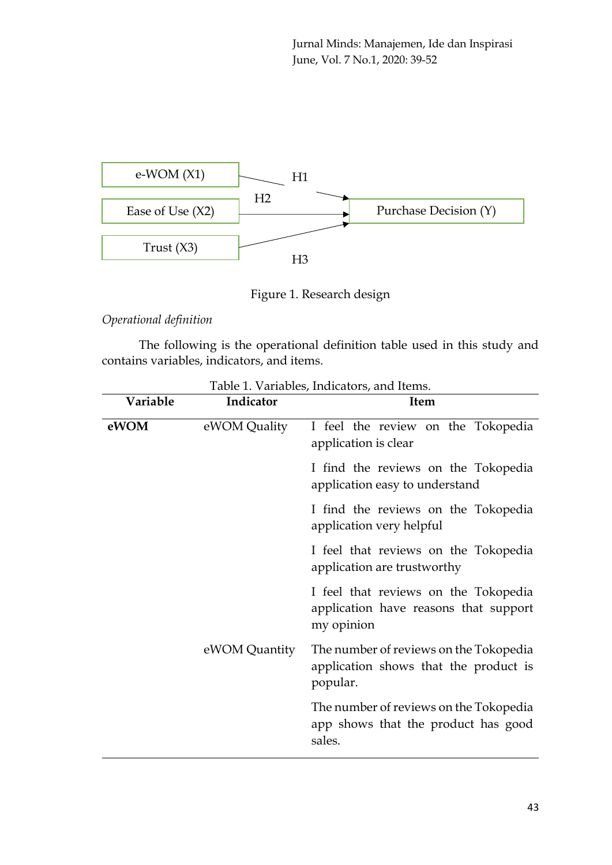

Figure 1. Research design

*Operational definition*

The following is the operational definition table used in this study and contains variables, indicators, and items.

| Variable | Indicator     | <b>Item</b>                                                                                 |  |  |  |  |
|----------|---------------|---------------------------------------------------------------------------------------------|--|--|--|--|
| eWOM     | eWOM Quality  | I feel the review on the Tokopedia<br>application is clear                                  |  |  |  |  |
|          |               | I find the reviews on the Tokopedia<br>application easy to understand                       |  |  |  |  |
|          |               | I find the reviews on the Tokopedia<br>application very helpful                             |  |  |  |  |
|          |               | I feel that reviews on the Tokopedia<br>application are trustworthy                         |  |  |  |  |
|          |               | I feel that reviews on the Tokopedia<br>application have reasons that support<br>my opinion |  |  |  |  |
|          | eWOM Quantity | The number of reviews on the Tokopedia<br>application shows that the product is<br>popular. |  |  |  |  |
|          |               | The number of reviews on the Tokopedia<br>app shows that the product has good<br>sales.     |  |  |  |  |

Table 1. Variables, Indicators, and Items.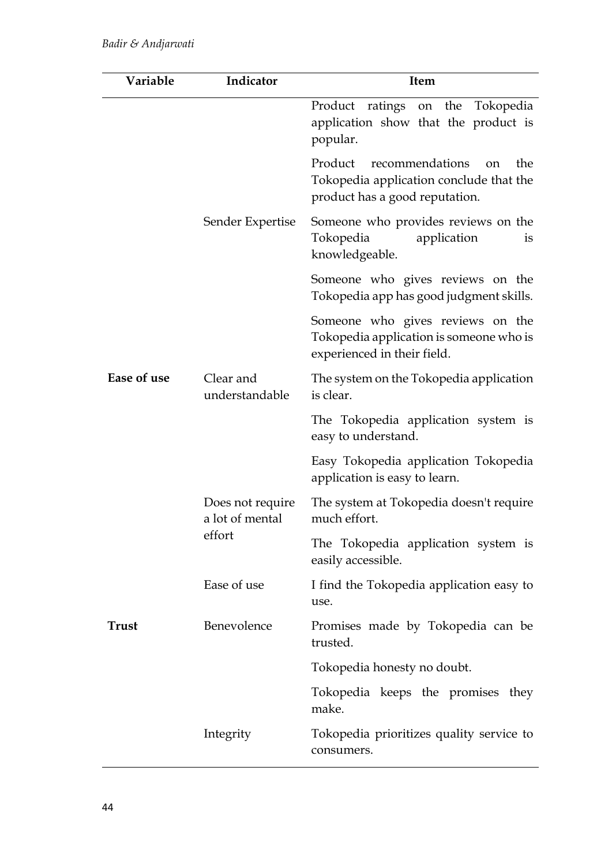| Variable    | Indicator                                     | <b>Item</b>                                                                                                                     |  |  |  |
|-------------|-----------------------------------------------|---------------------------------------------------------------------------------------------------------------------------------|--|--|--|
|             |                                               | Product ratings on the Tokopedia<br>application show that the product is<br>popular.                                            |  |  |  |
|             | Sender Expertise                              | Product<br>recommendations<br>the<br><sub>on</sub><br>Tokopedia application conclude that the<br>product has a good reputation. |  |  |  |
|             |                                               | Someone who provides reviews on the<br>Tokopedia<br>application<br>1S<br>knowledgeable.                                         |  |  |  |
|             |                                               | Someone who gives reviews on the<br>Tokopedia app has good judgment skills.                                                     |  |  |  |
|             |                                               | Someone who gives reviews on the<br>Tokopedia application is someone who is<br>experienced in their field.                      |  |  |  |
| Ease of use | Clear and<br>understandable                   | The system on the Tokopedia application<br>is clear.                                                                            |  |  |  |
|             |                                               | The Tokopedia application system is<br>easy to understand.                                                                      |  |  |  |
|             |                                               | Easy Tokopedia application Tokopedia<br>application is easy to learn.                                                           |  |  |  |
|             | Does not require<br>a lot of mental<br>effort | The system at Tokopedia doesn't require<br>much effort.                                                                         |  |  |  |
|             |                                               | The Tokopedia application system is<br>easily accessible.                                                                       |  |  |  |
|             | Ease of use                                   | I find the Tokopedia application easy to<br>use.                                                                                |  |  |  |
| Trust       | Benevolence                                   | Promises made by Tokopedia can be<br>trusted.                                                                                   |  |  |  |
|             |                                               | Tokopedia honesty no doubt.                                                                                                     |  |  |  |
|             |                                               | Tokopedia keeps the promises they<br>make.                                                                                      |  |  |  |
|             | Integrity                                     | Tokopedia prioritizes quality service to<br>consumers.                                                                          |  |  |  |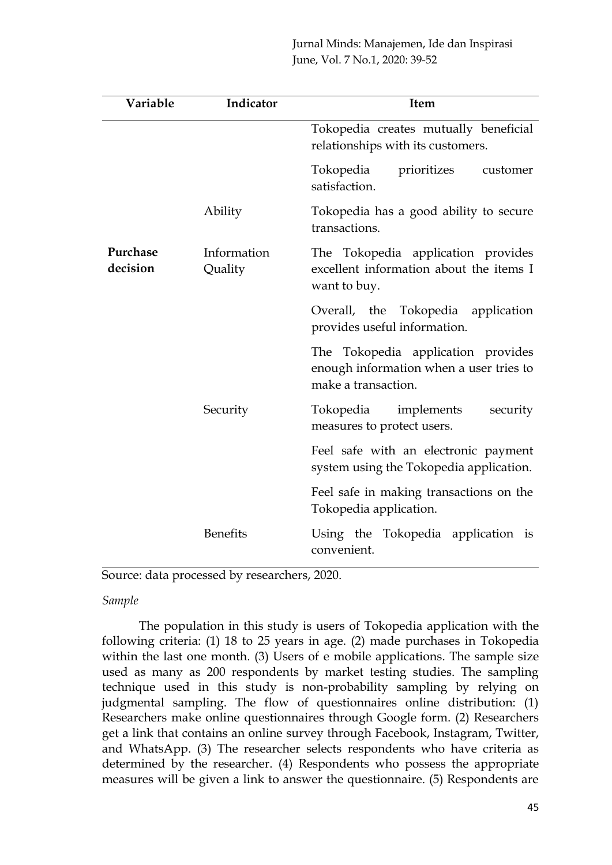| Variable             | Indicator              | <b>Item</b>                                                                                          |  |  |
|----------------------|------------------------|------------------------------------------------------------------------------------------------------|--|--|
|                      |                        | Tokopedia creates mutually beneficial<br>relationships with its customers.                           |  |  |
|                      |                        | Tokopedia<br>prioritizes<br>customer<br>satisfaction.                                                |  |  |
|                      | Ability                | Tokopedia has a good ability to secure<br>transactions.                                              |  |  |
| Purchase<br>decision | Information<br>Quality | The Tokopedia application provides<br>excellent information about the items I<br>want to buy.        |  |  |
|                      |                        | Overall, the Tokopedia application<br>provides useful information.                                   |  |  |
|                      |                        | The Tokopedia application provides<br>enough information when a user tries to<br>make a transaction. |  |  |
|                      | Security               | Tokopedia implements<br>security<br>measures to protect users.                                       |  |  |
|                      |                        | Feel safe with an electronic payment<br>system using the Tokopedia application.                      |  |  |
|                      |                        | Feel safe in making transactions on the<br>Tokopedia application.                                    |  |  |
|                      | <b>Benefits</b>        | Using the Tokopedia application is<br>convenient.                                                    |  |  |

Source: data processed by researchers, 2020.

# *Sample*

The population in this study is users of Tokopedia application with the following criteria: (1) 18 to 25 years in age. (2) made purchases in Tokopedia within the last one month. (3) Users of e mobile applications. The sample size used as many as 200 respondents by market testing studies. The sampling technique used in this study is non-probability sampling by relying on judgmental sampling. The flow of questionnaires online distribution: (1) Researchers make online questionnaires through Google form. (2) Researchers get a link that contains an online survey through Facebook, Instagram, Twitter, and WhatsApp. (3) The researcher selects respondents who have criteria as determined by the researcher. (4) Respondents who possess the appropriate measures will be given a link to answer the questionnaire. (5) Respondents are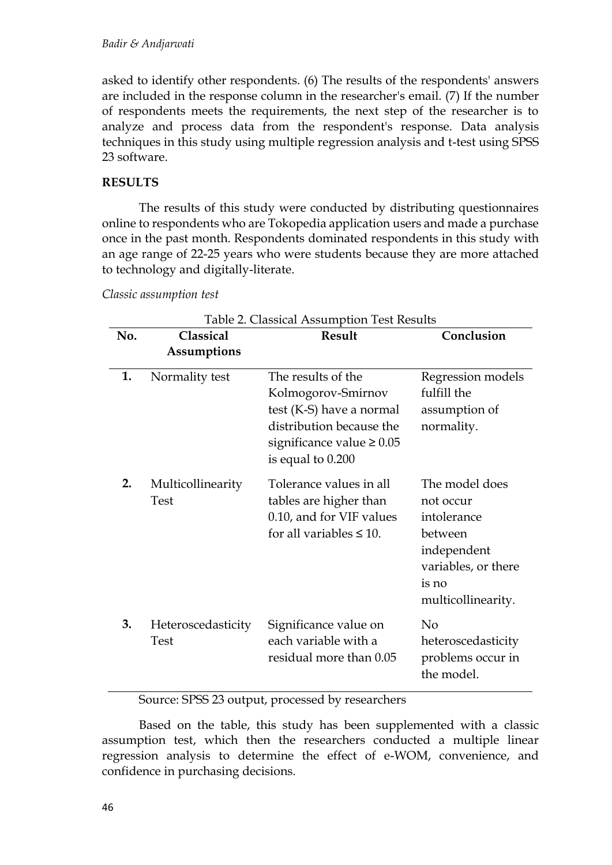asked to identify other respondents. (6) The results of the respondents' answers are included in the response column in the researcher's email. (7) If the number of respondents meets the requirements, the next step of the researcher is to analyze and process data from the respondent's response. Data analysis techniques in this study using multiple regression analysis and t-test using SPSS 23 software.

# **RESULTS**

The results of this study were conducted by distributing questionnaires online to respondents who are Tokopedia application users and made a purchase once in the past month. Respondents dominated respondents in this study with an age range of 22-25 years who were students because they are more attached to technology and digitally-literate.

*Classic assumption test*

| Table 2. Classical Assumption Test Results |                                  |                                                                                                                                                         |                                                                                                                            |  |
|--------------------------------------------|----------------------------------|---------------------------------------------------------------------------------------------------------------------------------------------------------|----------------------------------------------------------------------------------------------------------------------------|--|
| No.                                        | Classical<br><b>Result</b>       |                                                                                                                                                         | Conclusion                                                                                                                 |  |
|                                            | <b>Assumptions</b>               |                                                                                                                                                         |                                                                                                                            |  |
| 1.                                         | Normality test                   | The results of the<br>Kolmogorov-Smirnov<br>test (K-S) have a normal<br>distribution because the<br>significance value $\geq 0.05$<br>is equal to 0.200 | Regression models<br>fulfill the<br>assumption of<br>normality.                                                            |  |
| 2.                                         | Multicollinearity<br><b>Test</b> | Tolerance values in all<br>tables are higher than<br>0.10, and for VIF values<br>for all variables $\leq 10$ .                                          | The model does<br>not occur<br>intolerance<br>between<br>independent<br>variables, or there<br>is no<br>multicollinearity. |  |
| 3.                                         | Heteroscedasticity<br>Test       | Significance value on<br>each variable with a<br>residual more than 0.05                                                                                | N <sub>o</sub><br>heteroscedasticity<br>problems occur in<br>the model.                                                    |  |

Source: SPSS 23 output, processed by researchers

Based on the table, this study has been supplemented with a classic assumption test, which then the researchers conducted a multiple linear regression analysis to determine the effect of e-WOM, convenience, and confidence in purchasing decisions.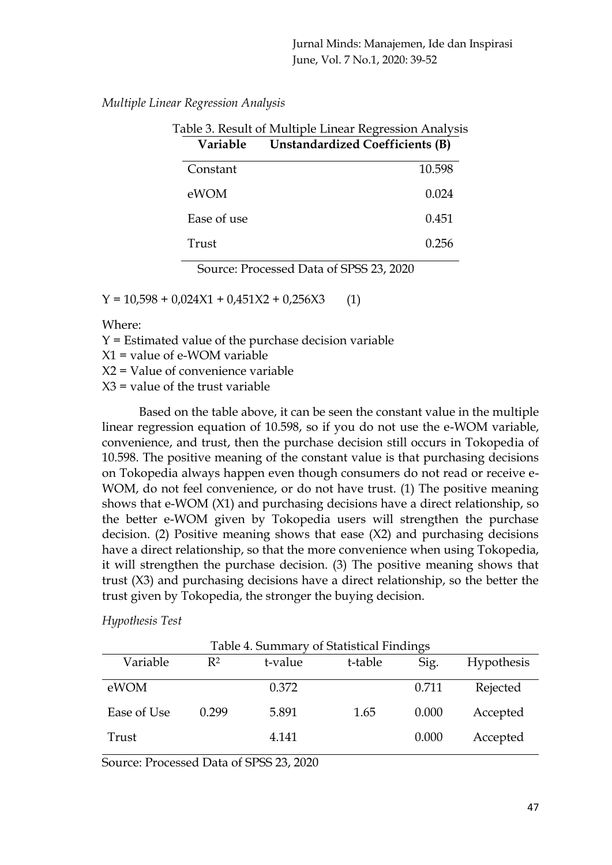*Multiple Linear Regression Analysis*

| Table 3. Result of Multiple Linear Regression Analysis |  |  |  |
|--------------------------------------------------------|--|--|--|
| <b>Unstandardized Coefficients (B)</b><br>Variable     |  |  |  |
| 10.598                                                 |  |  |  |
| 0.024                                                  |  |  |  |
| 0.451                                                  |  |  |  |
| 0.256                                                  |  |  |  |
|                                                        |  |  |  |

Source: Processed Data of SPSS 23, 2020

 $Y = 10,598 + 0,024X1 + 0,451X2 + 0,256X3$  (1)

Where:

Y = Estimated value of the purchase decision variable

X1 = value of e-WOM variable

X2 = Value of convenience variable

 $X3$  = value of the trust variable

Based on the table above, it can be seen the constant value in the multiple linear regression equation of 10.598, so if you do not use the e-WOM variable, convenience, and trust, then the purchase decision still occurs in Tokopedia of 10.598. The positive meaning of the constant value is that purchasing decisions on Tokopedia always happen even though consumers do not read or receive e-WOM, do not feel convenience, or do not have trust. (1) The positive meaning shows that e-WOM (X1) and purchasing decisions have a direct relationship, so the better e-WOM given by Tokopedia users will strengthen the purchase decision. (2) Positive meaning shows that ease (X2) and purchasing decisions have a direct relationship, so that the more convenience when using Tokopedia, it will strengthen the purchase decision. (3) The positive meaning shows that trust (X3) and purchasing decisions have a direct relationship, so the better the trust given by Tokopedia, the stronger the buying decision.

# *Hypothesis Test*

| Table 4. Summary of Statistical Findings |                |         |         |       |            |
|------------------------------------------|----------------|---------|---------|-------|------------|
| Variable                                 | $\mathbb{R}^2$ | t-value | t-table | Sig.  | Hypothesis |
| eWOM                                     |                | 0.372   |         | 0.711 | Rejected   |
| Ease of Use                              | 0.299          | 5.891   | 1.65    | 0.000 | Accepted   |
| Trust                                    |                | 4.141   |         | 0.000 | Accepted   |

Source: Processed Data of SPSS 23, 2020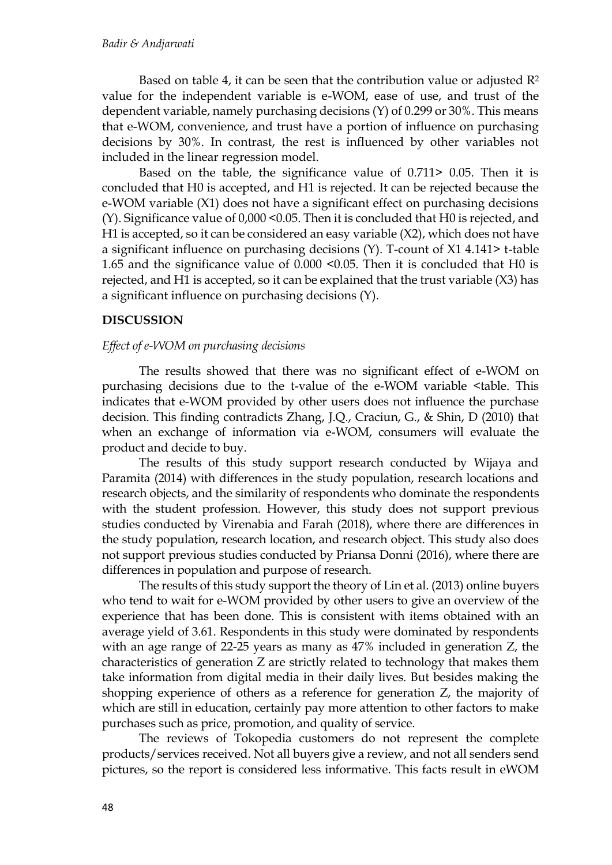Based on table 4, it can be seen that the contribution value or adjusted  $\mathbb{R}^2$ value for the independent variable is e-WOM, ease of use, and trust of the dependent variable, namely purchasing decisions (Y) of 0.299 or 30%. This means that e-WOM, convenience, and trust have a portion of influence on purchasing decisions by 30%. In contrast, the rest is influenced by other variables not included in the linear regression model.

Based on the table, the significance value of 0.711> 0.05. Then it is concluded that H0 is accepted, and H1 is rejected. It can be rejected because the e-WOM variable (X1) does not have a significant effect on purchasing decisions (Y). Significance value of 0,000 <0.05. Then it is concluded that H0 is rejected, and H1 is accepted, so it can be considered an easy variable (X2), which does not have a significant influence on purchasing decisions (Y). T-count of X1 4.141> t-table 1.65 and the significance value of 0.000 <0.05. Then it is concluded that H0 is rejected, and H1 is accepted, so it can be explained that the trust variable (X3) has a significant influence on purchasing decisions (Y).

# **DISCUSSION**

# *Effect of e-WOM on purchasing decisions*

The results showed that there was no significant effect of e-WOM on purchasing decisions due to the t-value of the e-WOM variable <table. This indicates that e-WOM provided by other users does not influence the purchase decision. This finding contradicts Zhang, J.Q., Craciun, G., & Shin, D (2010) that when an exchange of information via e-WOM, consumers will evaluate the product and decide to buy.

The results of this study support research conducted by Wijaya and Paramita (2014) with differences in the study population, research locations and research objects, and the similarity of respondents who dominate the respondents with the student profession. However, this study does not support previous studies conducted by Virenabia and Farah (2018), where there are differences in the study population, research location, and research object. This study also does not support previous studies conducted by Priansa Donni (2016), where there are differences in population and purpose of research.

The results of this study support the theory of Lin et al. (2013) online buyers who tend to wait for e-WOM provided by other users to give an overview of the experience that has been done. This is consistent with items obtained with an average yield of 3.61. Respondents in this study were dominated by respondents with an age range of 22-25 years as many as 47% included in generation Z, the characteristics of generation Z are strictly related to technology that makes them take information from digital media in their daily lives. But besides making the shopping experience of others as a reference for generation Z, the majority of which are still in education, certainly pay more attention to other factors to make purchases such as price, promotion, and quality of service.

The reviews of Tokopedia customers do not represent the complete products/services received. Not all buyers give a review, and not all senders send pictures, so the report is considered less informative. This facts result in eWOM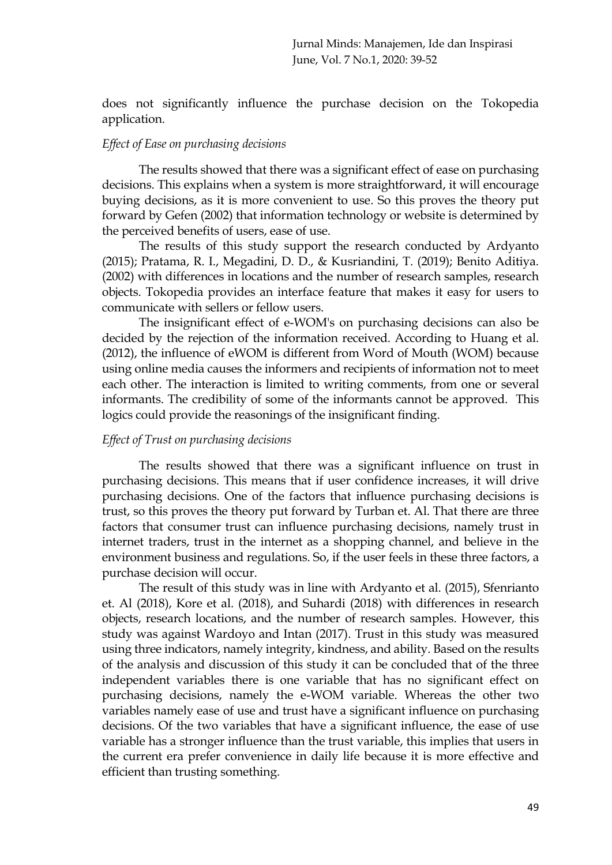does not significantly influence the purchase decision on the Tokopedia application.

# *Effect of Ease on purchasing decisions*

The results showed that there was a significant effect of ease on purchasing decisions. This explains when a system is more straightforward, it will encourage buying decisions, as it is more convenient to use. So this proves the theory put forward by Gefen (2002) that information technology or website is determined by the perceived benefits of users, ease of use.

The results of this study support the research conducted by Ardyanto (2015); Pratama, R. I., Megadini, D. D., & Kusriandini, T. (2019); Benito Aditiya. (2002) with differences in locations and the number of research samples, research objects. Tokopedia provides an interface feature that makes it easy for users to communicate with sellers or fellow users.

The insignificant effect of e-WOM's on purchasing decisions can also be decided by the rejection of the information received. According to Huang et al. (2012), the influence of eWOM is different from Word of Mouth (WOM) because using online media causes the informers and recipients of information not to meet each other. The interaction is limited to writing comments, from one or several informants. The credibility of some of the informants cannot be approved. This logics could provide the reasonings of the insignificant finding.

# *Effect of Trust on purchasing decisions*

The results showed that there was a significant influence on trust in purchasing decisions. This means that if user confidence increases, it will drive purchasing decisions. One of the factors that influence purchasing decisions is trust, so this proves the theory put forward by Turban et. Al. That there are three factors that consumer trust can influence purchasing decisions, namely trust in internet traders, trust in the internet as a shopping channel, and believe in the environment business and regulations. So, if the user feels in these three factors, a purchase decision will occur.

The result of this study was in line with Ardyanto et al. (2015), Sfenrianto et. Al (2018), Kore et al. (2018), and Suhardi (2018) with differences in research objects, research locations, and the number of research samples. However, this study was against Wardoyo and Intan (2017). Trust in this study was measured using three indicators, namely integrity, kindness, and ability. Based on the results of the analysis and discussion of this study it can be concluded that of the three independent variables there is one variable that has no significant effect on purchasing decisions, namely the e-WOM variable. Whereas the other two variables namely ease of use and trust have a significant influence on purchasing decisions. Of the two variables that have a significant influence, the ease of use variable has a stronger influence than the trust variable, this implies that users in the current era prefer convenience in daily life because it is more effective and efficient than trusting something.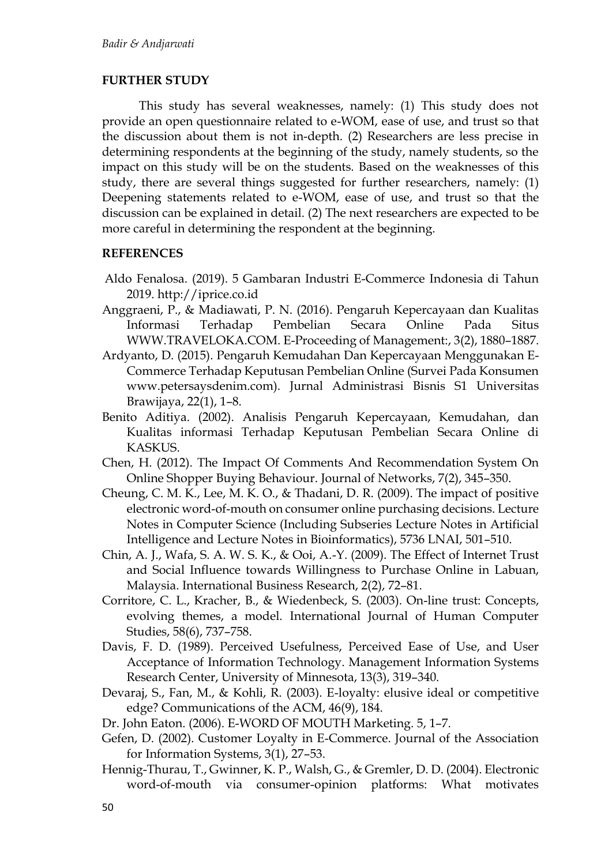### **FURTHER STUDY**

This study has several weaknesses, namely: (1) This study does not provide an open questionnaire related to e-WOM, ease of use, and trust so that the discussion about them is not in-depth. (2) Researchers are less precise in determining respondents at the beginning of the study, namely students, so the impact on this study will be on the students. Based on the weaknesses of this study, there are several things suggested for further researchers, namely: (1) Deepening statements related to e-WOM, ease of use, and trust so that the discussion can be explained in detail. (2) The next researchers are expected to be more careful in determining the respondent at the beginning.

# **REFERENCES**

- Aldo Fenalosa. (2019). 5 Gambaran Industri E-Commerce Indonesia di Tahun 2019. http://iprice.co.id
- Anggraeni, P., & Madiawati, P. N. (2016). Pengaruh Kepercayaan dan Kualitas Informasi Terhadap Pembelian Secara Online Pada Situs WWW.TRAVELOKA.COM. E-Proceeding of Management:, 3(2), 1880–1887.
- Ardyanto, D. (2015). Pengaruh Kemudahan Dan Kepercayaan Menggunakan E-Commerce Terhadap Keputusan Pembelian Online (Survei Pada Konsumen www.petersaysdenim.com). Jurnal Administrasi Bisnis S1 Universitas Brawijaya, 22(1), 1–8.
- Benito Aditiya. (2002). Analisis Pengaruh Kepercayaan, Kemudahan, dan Kualitas informasi Terhadap Keputusan Pembelian Secara Online di KASKUS.
- Chen, H. (2012). The Impact Of Comments And Recommendation System On Online Shopper Buying Behaviour. Journal of Networks, 7(2), 345–350.
- Cheung, C. M. K., Lee, M. K. O., & Thadani, D. R. (2009). The impact of positive electronic word-of-mouth on consumer online purchasing decisions. Lecture Notes in Computer Science (Including Subseries Lecture Notes in Artificial Intelligence and Lecture Notes in Bioinformatics), 5736 LNAI, 501–510.
- Chin, A. J., Wafa, S. A. W. S. K., & Ooi, A.-Y. (2009). The Effect of Internet Trust and Social Influence towards Willingness to Purchase Online in Labuan, Malaysia. International Business Research, 2(2), 72–81.
- Corritore, C. L., Kracher, B., & Wiedenbeck, S. (2003). On-line trust: Concepts, evolving themes, a model. International Journal of Human Computer Studies, 58(6), 737–758.
- Davis, F. D. (1989). Perceived Usefulness, Perceived Ease of Use, and User Acceptance of Information Technology. Management Information Systems Research Center, University of Minnesota, 13(3), 319–340.
- Devaraj, S., Fan, M., & Kohli, R. (2003). E-loyalty: elusive ideal or competitive edge? Communications of the ACM, 46(9), 184.
- Dr. John Eaton. (2006). E-WORD OF MOUTH Marketing. 5, 1–7.
- Gefen, D. (2002). Customer Loyalty in E-Commerce. Journal of the Association for Information Systems, 3(1), 27–53.
- Hennig-Thurau, T., Gwinner, K. P., Walsh, G., & Gremler, D. D. (2004). Electronic word-of-mouth via consumer-opinion platforms: What motivates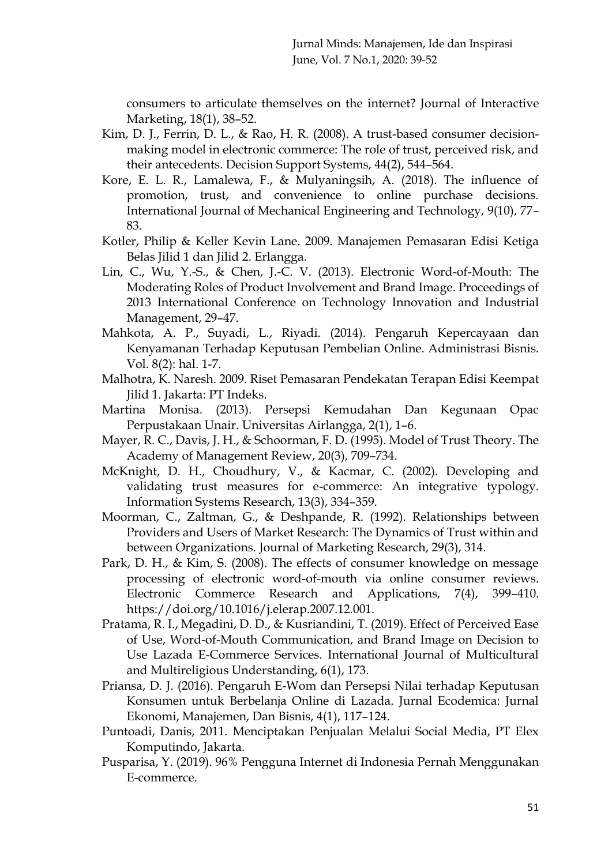consumers to articulate themselves on the internet? Journal of Interactive Marketing, 18(1), 38–52.

- Kim, D. J., Ferrin, D. L., & Rao, H. R. (2008). A trust-based consumer decisionmaking model in electronic commerce: The role of trust, perceived risk, and their antecedents. Decision Support Systems, 44(2), 544–564.
- Kore, E. L. R., Lamalewa, F., & Mulyaningsih, A. (2018). The influence of promotion, trust, and convenience to online purchase decisions. International Journal of Mechanical Engineering and Technology, 9(10), 77– 83.
- Kotler, Philip & Keller Kevin Lane. 2009. Manajemen Pemasaran Edisi Ketiga Belas Jilid 1 dan Jilid 2. Erlangga.
- Lin, C., Wu, Y.-S., & Chen, J.-C. V. (2013). Electronic Word-of-Mouth: The Moderating Roles of Product Involvement and Brand Image. Proceedings of 2013 International Conference on Technology Innovation and Industrial Management, 29–47.
- Mahkota, A. P., Suyadi, L., Riyadi. (2014). Pengaruh Kepercayaan dan Kenyamanan Terhadap Keputusan Pembelian Online. Administrasi Bisnis. Vol. 8(2): hal. 1-7.
- Malhotra, K. Naresh. 2009. Riset Pemasaran Pendekatan Terapan Edisi Keempat Jilid 1. Jakarta: PT Indeks.
- Martina Monisa. (2013). Persepsi Kemudahan Dan Kegunaan Opac Perpustakaan Unair. Universitas Airlangga, 2(1), 1–6.
- Mayer, R. C., Davis, J. H., & Schoorman, F. D. (1995). Model of Trust Theory. The Academy of Management Review, 20(3), 709–734.
- McKnight, D. H., Choudhury, V., & Kacmar, C. (2002). Developing and validating trust measures for e-commerce: An integrative typology. Information Systems Research, 13(3), 334–359.
- Moorman, C., Zaltman, G., & Deshpande, R. (1992). Relationships between Providers and Users of Market Research: The Dynamics of Trust within and between Organizations. Journal of Marketing Research, 29(3), 314.
- Park, D. H., & Kim, S. (2008). The effects of consumer knowledge on message processing of electronic word-of-mouth via online consumer reviews. Electronic Commerce Research and Applications, 7(4), 399–410. https://doi.org/10.1016/j.elerap.2007.12.001.
- Pratama, R. I., Megadini, D. D., & Kusriandini, T. (2019). Effect of Perceived Ease of Use, Word-of-Mouth Communication, and Brand Image on Decision to Use Lazada E-Commerce Services. International Journal of Multicultural and Multireligious Understanding, 6(1), 173.
- Priansa, D. J. (2016). Pengaruh E-Wom dan Persepsi Nilai terhadap Keputusan Konsumen untuk Berbelanja Online di Lazada. Jurnal Ecodemica: Jurnal Ekonomi, Manajemen, Dan Bisnis, 4(1), 117–124.
- Puntoadi, Danis, 2011. Menciptakan Penjualan Melalui Social Media, PT Elex Komputindo, Jakarta.
- Pusparisa, Y. (2019). 96% Pengguna Internet di Indonesia Pernah Menggunakan E-commerce.